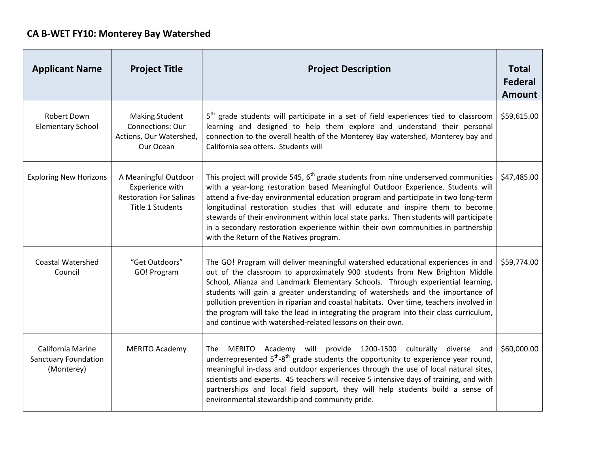## **CA B-WET FY10: Monterey Bay Watershed**

| <b>Applicant Name</b>                                          | <b>Project Title</b>                                                                          | <b>Project Description</b>                                                                                                                                                                                                                                                                                                                                                                                                                                                                                                                                                            | <b>Total</b><br><b>Federal</b><br><b>Amount</b> |
|----------------------------------------------------------------|-----------------------------------------------------------------------------------------------|---------------------------------------------------------------------------------------------------------------------------------------------------------------------------------------------------------------------------------------------------------------------------------------------------------------------------------------------------------------------------------------------------------------------------------------------------------------------------------------------------------------------------------------------------------------------------------------|-------------------------------------------------|
| Robert Down<br><b>Elementary School</b>                        | <b>Making Student</b><br>Connections: Our<br>Actions, Our Watershed,<br>Our Ocean             | 5 <sup>th</sup> grade students will participate in a set of field experiences tied to classroom<br>learning and designed to help them explore and understand their personal<br>connection to the overall health of the Monterey Bay watershed, Monterey bay and<br>California sea otters. Students will                                                                                                                                                                                                                                                                               | \$59,615.00                                     |
| <b>Exploring New Horizons</b>                                  | A Meaningful Outdoor<br>Experience with<br><b>Restoration For Salinas</b><br>Title 1 Students | This project will provide 545, $6th$ grade students from nine underserved communities<br>with a year-long restoration based Meaningful Outdoor Experience. Students will<br>attend a five-day environmental education program and participate in two long-term<br>longitudinal restoration studies that will educate and inspire them to become<br>stewards of their environment within local state parks. Then students will participate<br>in a secondary restoration experience within their own communities in partnership<br>with the Return of the Natives program.             | \$47,485.00                                     |
| <b>Coastal Watershed</b><br>Council                            | "Get Outdoors"<br>GO! Program                                                                 | The GO! Program will deliver meaningful watershed educational experiences in and<br>out of the classroom to approximately 900 students from New Brighton Middle<br>School, Alianza and Landmark Elementary Schools. Through experiential learning,<br>students will gain a greater understanding of watersheds and the importance of<br>pollution prevention in riparian and coastal habitats. Over time, teachers involved in<br>the program will take the lead in integrating the program into their class curriculum,<br>and continue with watershed-related lessons on their own. | \$59,774.00                                     |
| California Marine<br><b>Sanctuary Foundation</b><br>(Monterey) | <b>MERITO Academy</b>                                                                         | Academy will provide 1200-1500 culturally<br><b>MERITO</b><br>diverse and<br>The<br>underrepresented $5^{th}$ - $8^{th}$ grade students the opportunity to experience year round,<br>meaningful in-class and outdoor experiences through the use of local natural sites,<br>scientists and experts. 45 teachers will receive 5 intensive days of training, and with<br>partnerships and local field support, they will help students build a sense of<br>environmental stewardship and community pride.                                                                               | \$60,000.00                                     |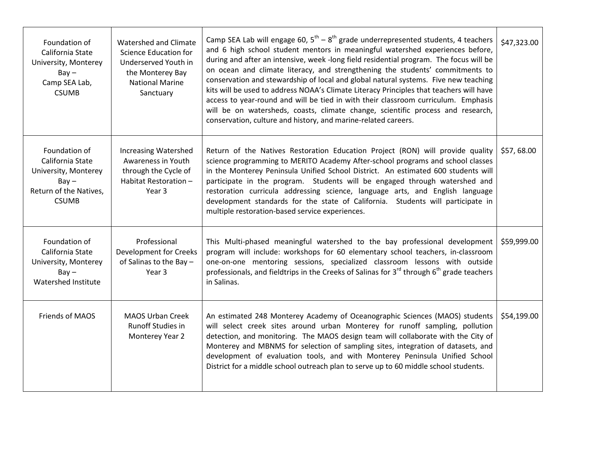| Foundation of<br>California State<br>University, Monterey<br>$Bay -$<br>Camp SEA Lab,<br><b>CSUMB</b>          | Watershed and Climate<br>Science Education for<br>Underserved Youth in<br>the Monterey Bay<br><b>National Marine</b><br>Sanctuary | Camp SEA Lab will engage 60, $5^{th} - 8^{th}$ grade underrepresented students, 4 teachers<br>and 6 high school student mentors in meaningful watershed experiences before,<br>during and after an intensive, week -long field residential program. The focus will be<br>on ocean and climate literacy, and strengthening the students' commitments to<br>conservation and stewardship of local and global natural systems. Five new teaching<br>kits will be used to address NOAA's Climate Literacy Principles that teachers will have<br>access to year-round and will be tied in with their classroom curriculum. Emphasis<br>will be on watersheds, coasts, climate change, scientific process and research,<br>conservation, culture and history, and marine-related careers. | \$47,323.00 |
|----------------------------------------------------------------------------------------------------------------|-----------------------------------------------------------------------------------------------------------------------------------|-------------------------------------------------------------------------------------------------------------------------------------------------------------------------------------------------------------------------------------------------------------------------------------------------------------------------------------------------------------------------------------------------------------------------------------------------------------------------------------------------------------------------------------------------------------------------------------------------------------------------------------------------------------------------------------------------------------------------------------------------------------------------------------|-------------|
| Foundation of<br>California State<br>University, Monterey<br>$Bay -$<br>Return of the Natives,<br><b>CSUMB</b> | <b>Increasing Watershed</b><br>Awareness in Youth<br>through the Cycle of<br>Habitat Restoration -<br>Year 3                      | Return of the Natives Restoration Education Project (RON) will provide quality<br>science programming to MERITO Academy After-school programs and school classes<br>in the Monterey Peninsula Unified School District. An estimated 600 students will<br>participate in the program. Students will be engaged through watershed and<br>restoration curricula addressing science, language arts, and English language<br>development standards for the state of California. Students will participate in<br>multiple restoration-based service experiences.                                                                                                                                                                                                                          | \$57,68.00  |
| Foundation of<br>California State<br>University, Monterey<br>$Bay -$<br>Watershed Institute                    | Professional<br><b>Development for Creeks</b><br>of Salinas to the Bay -<br>Year 3                                                | This Multi-phased meaningful watershed to the bay professional development<br>program will include: workshops for 60 elementary school teachers, in-classroom<br>one-on-one mentoring sessions, specialized classroom lessons with outside<br>professionals, and fieldtrips in the Creeks of Salinas for $3^{rd}$ through $6^{th}$ grade teachers<br>in Salinas.                                                                                                                                                                                                                                                                                                                                                                                                                    | \$59,999.00 |
| <b>Friends of MAOS</b>                                                                                         | <b>MAOS Urban Creek</b><br><b>Runoff Studies in</b><br>Monterey Year 2                                                            | An estimated 248 Monterey Academy of Oceanographic Sciences (MAOS) students<br>will select creek sites around urban Monterey for runoff sampling, pollution<br>detection, and monitoring. The MAOS design team will collaborate with the City of<br>Monterey and MBNMS for selection of sampling sites, integration of datasets, and<br>development of evaluation tools, and with Monterey Peninsula Unified School<br>District for a middle school outreach plan to serve up to 60 middle school students.                                                                                                                                                                                                                                                                         | \$54,199.00 |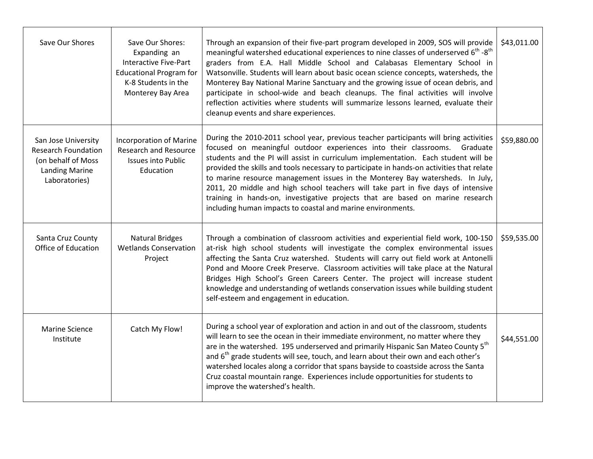| Save Our Shores                                                                                                   | Save Our Shores:<br>Expanding an<br><b>Interactive Five-Part</b><br><b>Educational Program for</b><br>K-8 Students in the<br>Monterey Bay Area | Through an expansion of their five-part program developed in 2009, SOS will provide<br>meaningful watershed educational experiences to nine classes of underserved $6^{th}$ - $8^{th}$<br>graders from E.A. Hall Middle School and Calabasas Elementary School in<br>Watsonville. Students will learn about basic ocean science concepts, watersheds, the<br>Monterey Bay National Marine Sanctuary and the growing issue of ocean debris, and<br>participate in school-wide and beach cleanups. The final activities will involve<br>reflection activities where students will summarize lessons learned, evaluate their<br>cleanup events and share experiences.              | \$43,011.00 |
|-------------------------------------------------------------------------------------------------------------------|------------------------------------------------------------------------------------------------------------------------------------------------|---------------------------------------------------------------------------------------------------------------------------------------------------------------------------------------------------------------------------------------------------------------------------------------------------------------------------------------------------------------------------------------------------------------------------------------------------------------------------------------------------------------------------------------------------------------------------------------------------------------------------------------------------------------------------------|-------------|
| San Jose University<br><b>Research Foundation</b><br>(on behalf of Moss<br><b>Landing Marine</b><br>Laboratories) | <b>Incorporation of Marine</b><br><b>Research and Resource</b><br><b>Issues into Public</b><br>Education                                       | During the 2010-2011 school year, previous teacher participants will bring activities<br>focused on meaningful outdoor experiences into their classrooms.<br>Graduate<br>students and the PI will assist in curriculum implementation. Each student will be<br>provided the skills and tools necessary to participate in hands-on activities that relate<br>to marine resource management issues in the Monterey Bay watersheds. In July,<br>2011, 20 middle and high school teachers will take part in five days of intensive<br>training in hands-on, investigative projects that are based on marine research<br>including human impacts to coastal and marine environments. | \$59,880.00 |
| Santa Cruz County<br>Office of Education                                                                          | <b>Natural Bridges</b><br><b>Wetlands Conservation</b><br>Project                                                                              | Through a combination of classroom activities and experiential field work, 100-150<br>at-risk high school students will investigate the complex environmental issues<br>affecting the Santa Cruz watershed. Students will carry out field work at Antonelli<br>Pond and Moore Creek Preserve. Classroom activities will take place at the Natural<br>Bridges High School's Green Careers Center. The project will increase student<br>knowledge and understanding of wetlands conservation issues while building student<br>self-esteem and engagement in education.                                                                                                            | \$59,535.00 |
| <b>Marine Science</b><br>Institute                                                                                | Catch My Flow!                                                                                                                                 | During a school year of exploration and action in and out of the classroom, students<br>will learn to see the ocean in their immediate environment, no matter where they<br>are in the watershed. 195 underserved and primarily Hispanic San Mateo County 5 <sup>th</sup><br>and $6th$ grade students will see, touch, and learn about their own and each other's<br>watershed locales along a corridor that spans bayside to coastside across the Santa<br>Cruz coastal mountain range. Experiences include opportunities for students to<br>improve the watershed's health.                                                                                                   | \$44,551.00 |